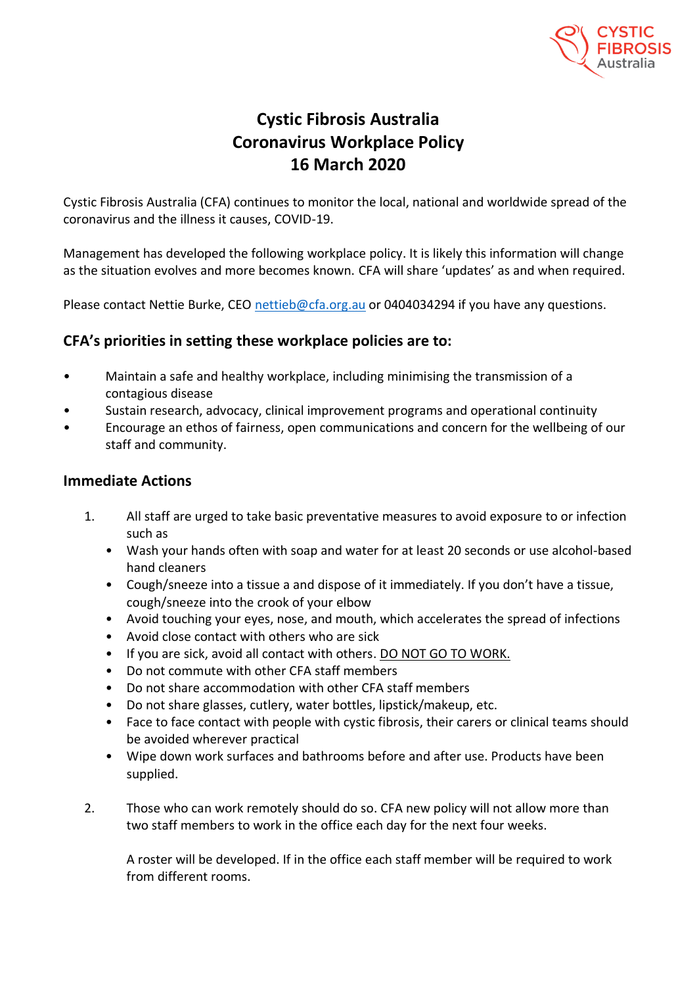

## **Cystic Fibrosis Australia Coronavirus Workplace Policy 16 March 2020**

Cystic Fibrosis Australia (CFA) continues to monitor the local, national and worldwide spread of the coronavirus and the illness it causes, COVID-19.

Management has developed the following workplace policy. It is likely this information will change as the situation evolves and more becomes known. CFA will share 'updates' as and when required.

Please contact Nettie Burke, CEO [nettieb@cfa.org.au](mailto:nettieb@cfa.org.au) or 0404034294 if you have any questions.

## **CFA's priorities in setting these workplace policies are to:**

- Maintain a safe and healthy workplace, including minimising the transmission of a contagious disease
- Sustain research, advocacy, clinical improvement programs and operational continuity
- Encourage an ethos of fairness, open communications and concern for the wellbeing of our staff and community.

## **Immediate Actions**

- 1. All staff are urged to take basic preventative measures to avoid exposure to or infection such as
	- Wash your hands often with soap and water for at least 20 seconds or use alcohol-based hand cleaners
	- Cough/sneeze into a tissue a and dispose of it immediately. If you don't have a tissue, cough/sneeze into the crook of your elbow
	- Avoid touching your eyes, nose, and mouth, which accelerates the spread of infections
	- Avoid close contact with others who are sick
	- If you are sick, avoid all contact with others. DO NOT GO TO WORK.
	- Do not commute with other CFA staff members
	- Do not share accommodation with other CFA staff members
	- Do not share glasses, cutlery, water bottles, lipstick/makeup, etc.
	- Face to face contact with people with cystic fibrosis, their carers or clinical teams should be avoided wherever practical
	- Wipe down work surfaces and bathrooms before and after use. Products have been supplied.
- 2. Those who can work remotely should do so. CFA new policy will not allow more than two staff members to work in the office each day for the next four weeks.

A roster will be developed. If in the office each staff member will be required to work from different rooms.